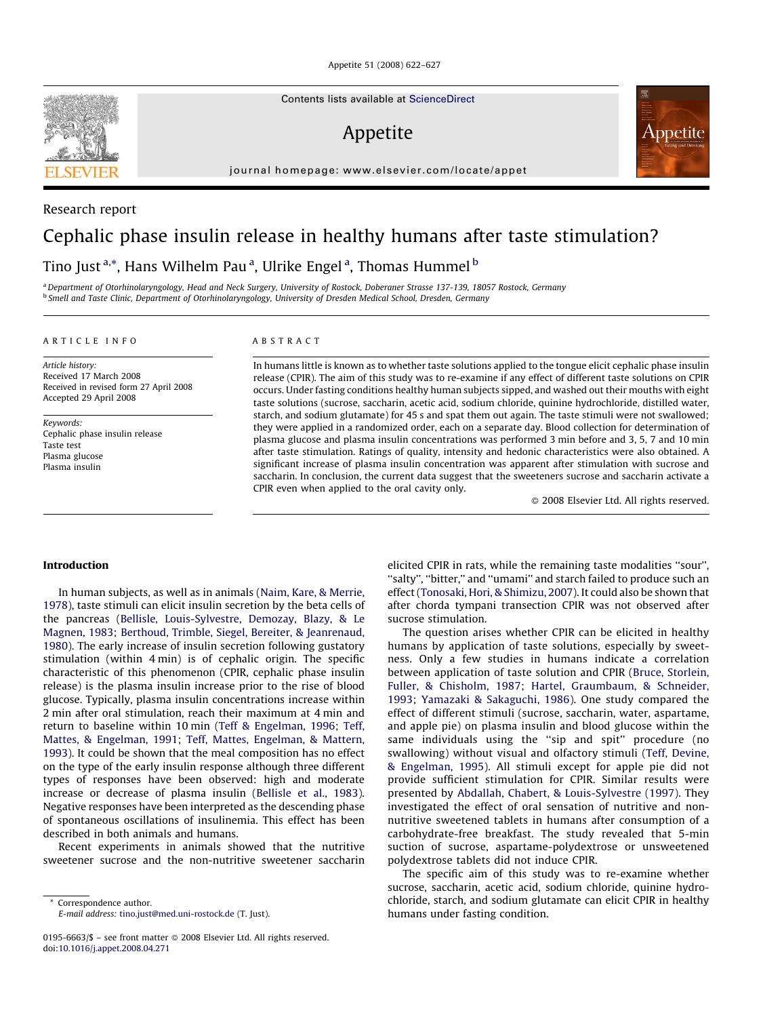Appetite 51 (2008) 622–627

Contents lists available at [ScienceDirect](http://www.sciencedirect.com/science/journal/01956663)

# Appetite

journal homepage: www.elsevier.com/locate/appet

# Cephalic phase insulin release in healthy humans after taste stimulation?

Tino Just<sup>a,\*</sup>, Hans Wilhelm Pau<sup>a</sup>, Ulrike Engel<sup>a</sup>, Thomas Hummel <sup>b</sup>

a Department of Otorhinolaryngology, Head and Neck Surgery, University of Rostock, Doberaner Strasse 137-139, 18057 Rostock, Germany <sup>b</sup> Smell and Taste Clinic, Department of Otorhinolaryngology, University of Dresden Medical School, Dresden, Germany

#### ARTICLE INFO

Article history: Received 17 March 2008 Received in revised form 27 April 2008 Accepted 29 April 2008

Keywords: Cephalic phase insulin release Taste test Plasma glucose Plasma insulin

# ABSTRACT

In humans little is known as to whether taste solutions applied to the tongue elicit cephalic phase insulin release (CPIR). The aim of this study was to re-examine if any effect of different taste solutions on CPIR occurs. Under fasting conditions healthy human subjects sipped, and washed out their mouths with eight taste solutions (sucrose, saccharin, acetic acid, sodium chloride, quinine hydrochloride, distilled water, starch, and sodium glutamate) for 45 s and spat them out again. The taste stimuli were not swallowed; they were applied in a randomized order, each on a separate day. Blood collection for determination of plasma glucose and plasma insulin concentrations was performed 3 min before and 3, 5, 7 and 10 min after taste stimulation. Ratings of quality, intensity and hedonic characteristics were also obtained. A significant increase of plasma insulin concentration was apparent after stimulation with sucrose and saccharin. In conclusion, the current data suggest that the sweeteners sucrose and saccharin activate a CPIR even when applied to the oral cavity only.

- 2008 Elsevier Ltd. All rights reserved.

#### Introduction

In human subjects, as well as in animals [\(Naim, Kare, & Merrie,](#page-4-0) [1978](#page-4-0)), taste stimuli can elicit insulin secretion by the beta cells of the pancreas [\(Bellisle, Louis-Sylvestre, Demozay, Blazy, & Le](#page-4-0) [Magnen, 1983;](#page-4-0) [Berthoud, Trimble, Siegel, Bereiter, & Jeanrenaud,](#page-4-0) [1980\)](#page-4-0). The early increase of insulin secretion following gustatory stimulation (within 4 min) is of cephalic origin. The specific characteristic of this phenomenon (CPIR, cephalic phase insulin release) is the plasma insulin increase prior to the rise of blood glucose. Typically, plasma insulin concentrations increase within 2 min after oral stimulation, reach their maximum at 4 min and return to baseline within 10 min ([Teff & Engelman, 1996;](#page-5-0) [Teff,](#page-5-0) [Mattes, & Engelman, 1991;](#page-5-0) [Teff, Mattes, Engelman, & Mattern,](#page-5-0) [1993](#page-5-0)). It could be shown that the meal composition has no effect on the type of the early insulin response although three different types of responses have been observed: high and moderate increase or decrease of plasma insulin [\(Bellisle et al., 1983\)](#page-4-0). Negative responses have been interpreted as the descending phase of spontaneous oscillations of insulinemia. This effect has been described in both animals and humans.

Recent experiments in animals showed that the nutritive sweetener sucrose and the non-nutritive sweetener saccharin

Correspondence author. E-mail address: [tino.just@med.uni-rostock.de](mailto:tino.just@med.uni-rostock.de) (T. Just).

0195-6663/\$ – see front matter © 2008 Elsevier Ltd. All rights reserved. doi:[10.1016/j.appet.2008.04.271](http://dx.doi.org/10.1016/j.appet.2008.04.271)

elicited CPIR in rats, while the remaining taste modalities ''sour'', ''salty'', ''bitter,'' and ''umami'' and starch failed to produce such an effect ([Tonosaki, Hori, & Shimizu, 2007](#page-5-0)). It could also be shown that after chorda tympani transection CPIR was not observed after sucrose stimulation.

The question arises whether CPIR can be elicited in healthy humans by application of taste solutions, especially by sweetness. Only a few studies in humans indicate a correlation between application of taste solution and CPIR [\(Bruce, Storlein,](#page-4-0) [Fuller, & Chisholm, 1987;](#page-4-0) [Hartel, Graumbaum, & Schneider,](#page-4-0) [1993](#page-4-0); [Yamazaki & Sakaguchi, 1986\)](#page-5-0). One study compared the effect of different stimuli (sucrose, saccharin, water, aspartame, and apple pie) on plasma insulin and blood glucose within the same individuals using the ''sip and spit'' procedure (no swallowing) without visual and olfactory stimuli ([Teff, Devine,](#page-5-0) [& Engelman, 1995](#page-5-0)). All stimuli except for apple pie did not provide sufficient stimulation for CPIR. Similar results were presented by [Abdallah, Chabert, & Louis-Sylvestre \(1997\).](#page-4-0) They investigated the effect of oral sensation of nutritive and nonnutritive sweetened tablets in humans after consumption of a carbohydrate-free breakfast. The study revealed that 5-min suction of sucrose, aspartame-polydextrose or unsweetened polydextrose tablets did not induce CPIR.

The specific aim of this study was to re-examine whether sucrose, saccharin, acetic acid, sodium chloride, quinine hydrochloride, starch, and sodium glutamate can elicit CPIR in healthy humans under fasting condition.



Research report

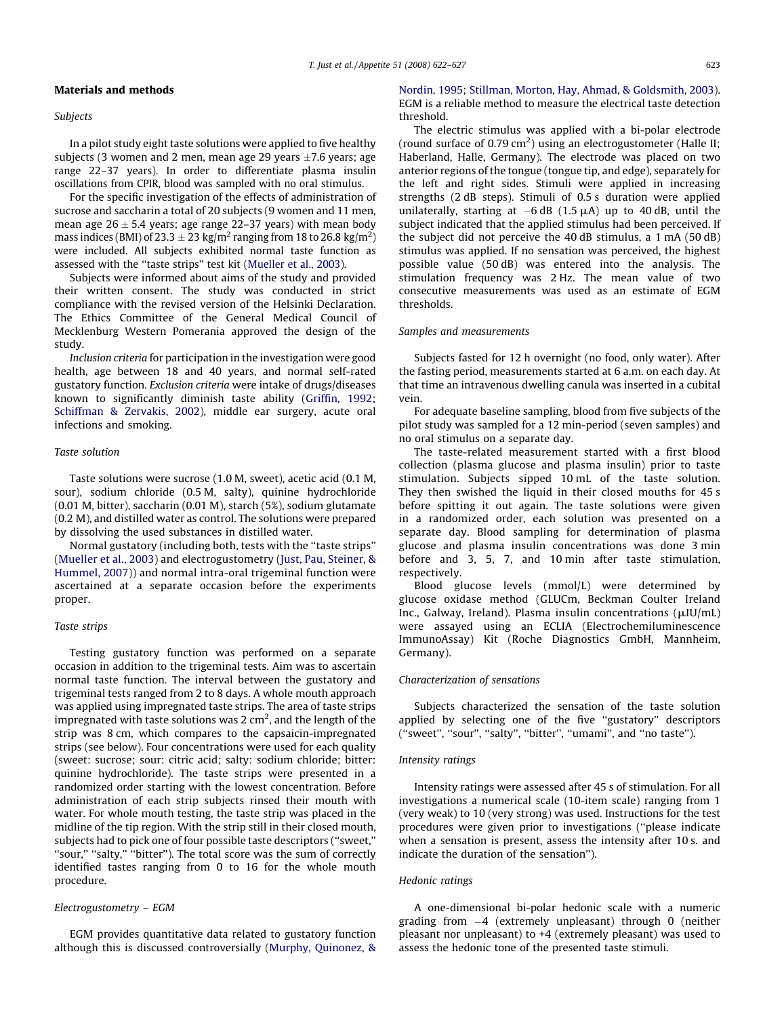#### Materials and methods

Subjects

In a pilot study eight taste solutions were applied to five healthy subjects (3 women and 2 men, mean age 29 years  $\pm$ 7.6 years; age range 22–37 years). In order to differentiate plasma insulin oscillations from CPIR, blood was sampled with no oral stimulus.

For the specific investigation of the effects of administration of sucrose and saccharin a total of 20 subjects (9 women and 11 men, mean age 26  $\pm$  5.4 years; age range 22–37 years) with mean body mass indices (BMI) of 23.3  $\pm$  23 kg/m $^2$  ranging from 18 to 26.8 kg/m $^2$ ) were included. All subjects exhibited normal taste function as assessed with the ''taste strips'' test kit [\(Mueller et al., 2003\)](#page-4-0).

Subjects were informed about aims of the study and provided their written consent. The study was conducted in strict compliance with the revised version of the Helsinki Declaration. The Ethics Committee of the General Medical Council of Mecklenburg Western Pomerania approved the design of the study.

Inclusion criteria for participation in the investigation were good health, age between 18 and 40 years, and normal self-rated gustatory function. Exclusion criteria were intake of drugs/diseases known to significantly diminish taste ability ([Griffin, 1992;](#page-4-0) [Schiffman & Zervakis, 2002](#page-4-0)), middle ear surgery, acute oral infections and smoking.

# Taste solution

Taste solutions were sucrose (1.0 M, sweet), acetic acid (0.1 M, sour), sodium chloride (0.5 M, salty), quinine hydrochloride (0.01 M, bitter), saccharin (0.01 M), starch (5%), sodium glutamate (0.2 M), and distilled water as control. The solutions were prepared by dissolving the used substances in distilled water.

Normal gustatory (including both, tests with the ''taste strips'' ([Mueller et al., 2003](#page-4-0)) and electrogustometry [\(Just, Pau, Steiner, &](#page-4-0) [Hummel, 2007](#page-4-0))) and normal intra-oral trigeminal function were ascertained at a separate occasion before the experiments proper.

# Taste strips

Testing gustatory function was performed on a separate occasion in addition to the trigeminal tests. Aim was to ascertain normal taste function. The interval between the gustatory and trigeminal tests ranged from 2 to 8 days. A whole mouth approach was applied using impregnated taste strips. The area of taste strips impregnated with taste solutions was 2 cm<sup>2</sup>, and the length of the strip was 8 cm, which compares to the capsaicin-impregnated strips (see below). Four concentrations were used for each quality (sweet: sucrose; sour: citric acid; salty: sodium chloride; bitter: quinine hydrochloride). The taste strips were presented in a randomized order starting with the lowest concentration. Before administration of each strip subjects rinsed their mouth with water. For whole mouth testing, the taste strip was placed in the midline of the tip region. With the strip still in their closed mouth, subjects had to pick one of four possible taste descriptors (''sweet,'' "sour," "salty," "bitter"). The total score was the sum of correctly identified tastes ranging from 0 to 16 for the whole mouth procedure.

# Electrogustometry – EGM

EGM provides quantitative data related to gustatory function although this is discussed controversially [\(Murphy, Quinonez, &](#page-4-0) [Nordin, 1995;](#page-4-0) [Stillman, Morton, Hay, Ahmad, & Goldsmith, 2003\)](#page-4-0). EGM is a reliable method to measure the electrical taste detection threshold.

The electric stimulus was applied with a bi-polar electrode (round surface of 0.79 cm<sup>2</sup>) using an electrogustometer (Halle II; Haberland, Halle, Germany). The electrode was placed on two anterior regions of the tongue (tongue tip, and edge), separately for the left and right sides. Stimuli were applied in increasing strengths (2 dB steps). Stimuli of 0.5 s duration were applied unilaterally, starting at  $-6$  dB (1.5  $\mu$ A) up to 40 dB, until the subject indicated that the applied stimulus had been perceived. If the subject did not perceive the 40 dB stimulus, a 1 mA (50 dB) stimulus was applied. If no sensation was perceived, the highest possible value (50 dB) was entered into the analysis. The stimulation frequency was 2 Hz. The mean value of two consecutive measurements was used as an estimate of EGM thresholds.

#### Samples and measurements

Subjects fasted for 12 h overnight (no food, only water). After the fasting period, measurements started at 6 a.m. on each day. At that time an intravenous dwelling canula was inserted in a cubital vein.

For adequate baseline sampling, blood from five subjects of the pilot study was sampled for a 12 min-period (seven samples) and no oral stimulus on a separate day.

The taste-related measurement started with a first blood collection (plasma glucose and plasma insulin) prior to taste stimulation. Subjects sipped 10 mL of the taste solution. They then swished the liquid in their closed mouths for 45 s before spitting it out again. The taste solutions were given in a randomized order, each solution was presented on a separate day. Blood sampling for determination of plasma glucose and plasma insulin concentrations was done 3 min before and 3, 5, 7, and 10 min after taste stimulation, respectively.

Blood glucose levels (mmol/L) were determined by glucose oxidase method (GLUCm, Beckman Coulter Ireland Inc., Galway, Ireland). Plasma insulin concentrations ( $\mu$ IU/mL) were assayed using an ECLIA (Electrochemiluminescence ImmunoAssay) Kit (Roche Diagnostics GmbH, Mannheim, Germany).

#### Characterization of sensations

Subjects characterized the sensation of the taste solution applied by selecting one of the five ''gustatory'' descriptors (''sweet'', ''sour'', ''salty'', ''bitter'', ''umami'', and ''no taste'').

#### Intensity ratings

Intensity ratings were assessed after 45 s of stimulation. For all investigations a numerical scale (10-item scale) ranging from 1 (very weak) to 10 (very strong) was used. Instructions for the test procedures were given prior to investigations (''please indicate when a sensation is present, assess the intensity after 10 s. and indicate the duration of the sensation'').

#### Hedonic ratings

A one-dimensional bi-polar hedonic scale with a numeric grading from  $-4$  (extremely unpleasant) through 0 (neither pleasant nor unpleasant) to +4 (extremely pleasant) was used to assess the hedonic tone of the presented taste stimuli.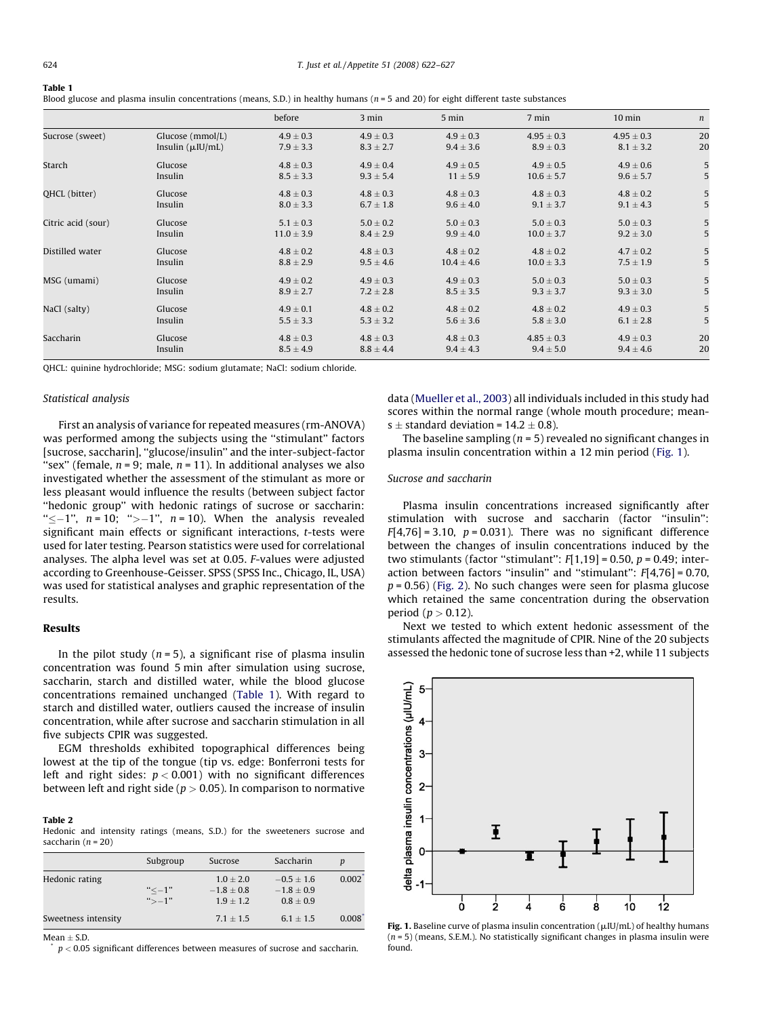<span id="page-2-0"></span>

| Table 1                                                                                                                                |  |  |  |
|----------------------------------------------------------------------------------------------------------------------------------------|--|--|--|
| Blood glucose and plasma insulin concentrations (means, S.D.) in healthy humans ( $n = 5$ and 20) for eight different taste substances |  |  |  |

|                      |                        | before         | 3 min         | 5 min          | 7 min          | $10$ min       | $\boldsymbol{n}$ |
|----------------------|------------------------|----------------|---------------|----------------|----------------|----------------|------------------|
| Sucrose (sweet)      | Glucose (mmol/L)       | $4.9 \pm 0.3$  | $4.9 \pm 0.3$ | $4.9 \pm 0.3$  | $4.95 \pm 0.3$ | $4.95 \pm 0.3$ | 20               |
|                      | Insulin $(\mu I U/mL)$ | $7.9 \pm 3.3$  | $8.3 \pm 2.7$ | $9.4 \pm 3.6$  | $8.9 \pm 0.3$  | $8.1 \pm 3.2$  | 20               |
| Starch               | Glucose                | $4.8 \pm 0.3$  | $4.9 \pm 0.4$ | $4.9 \pm 0.5$  | $4.9 \pm 0.5$  | $4.9 \pm 0.6$  | 5                |
|                      | Insulin                | $8.5 \pm 3.3$  | $9.3 \pm 5.4$ | $11 \pm 5.9$   | $10.6 \pm 5.7$ | $9.6 \pm 5.7$  | 5                |
| <b>OHCL</b> (bitter) | Glucose                | $4.8 \pm 0.3$  | $4.8 \pm 0.3$ | $4.8 \pm 0.3$  | $4.8 \pm 0.3$  | $4.8 \pm 0.2$  | 5                |
|                      | Insulin                | $8.0 \pm 3.3$  | $6.7 \pm 1.8$ | $9.6 \pm 4.0$  | $9.1 \pm 3.7$  | $9.1 \pm 4.3$  | 5                |
| Citric acid (sour)   | Glucose                | $5.1 \pm 0.3$  | $5.0 \pm 0.2$ | $5.0 \pm 0.3$  | $5.0 \pm 0.3$  | $5.0 \pm 0.3$  | 5                |
|                      | Insulin                | $11.0 \pm 3.9$ | $8.4 \pm 2.9$ | $9.9 \pm 4.0$  | $10.0 \pm 3.7$ | $9.2 \pm 3.0$  | 5                |
| Distilled water      | Glucose                | $4.8 \pm 0.2$  | $4.8 \pm 0.3$ | $4.8 \pm 0.2$  | $4.8 \pm 0.2$  | $4.7 \pm 0.2$  | 5                |
|                      | Insulin                | $8.8 \pm 2.9$  | $9.5 \pm 4.6$ | $10.4 \pm 4.6$ | $10.0 \pm 3.3$ | $7.5 \pm 1.9$  | 5                |
| MSG (umami)          | Glucose                | $4.9 \pm 0.2$  | $4.9 \pm 0.3$ | $4.9 \pm 0.3$  | $5.0 \pm 0.3$  | $5.0 \pm 0.3$  | 5                |
|                      | Insulin                | $8.9 \pm 2.7$  | $7.2 \pm 2.8$ | $8.5 \pm 3.5$  | $9.3 \pm 3.7$  | $9.3 \pm 3.0$  | 5                |
| NaCl (salty)         | Glucose                | $4.9 \pm 0.1$  | $4.8 \pm 0.2$ | $4.8 \pm 0.2$  | $4.8 \pm 0.2$  | $4.9 \pm 0.3$  | 5                |
|                      | Insulin                | $5.5 \pm 3.3$  | $5.3 \pm 3.2$ | $5.6 \pm 3.6$  | $5.8 \pm 3.0$  | $6.1 \pm 2.8$  | 5                |
| Saccharin            | Glucose                | $4.8 \pm 0.3$  | $4.8 \pm 0.3$ | $4.8 \pm 0.3$  | $4.85 \pm 0.3$ | $4.9 \pm 0.3$  | 20               |
|                      | Insulin                | $8.5 \pm 4.9$  | $8.8 \pm 4.4$ | $9.4 \pm 4.3$  | $9.4 \pm 5.0$  | $9.4 \pm 4.6$  | 20               |

QHCL: quinine hydrochloride; MSG: sodium glutamate; NaCl: sodium chloride.

#### Statistical analysis

First an analysis of variance for repeated measures (rm-ANOVA) was performed among the subjects using the ''stimulant'' factors [sucrose, saccharin], ''glucose/insulin'' and the inter-subject-factor "sex" (female,  $n = 9$ ; male,  $n = 11$ ). In additional analyses we also investigated whether the assessment of the stimulant as more or less pleasant would influence the results (between subject factor "hedonic group" with hedonic ratings of sucrose or saccharin: " $\leq -1$ ",  $n = 10$ ; " $> -1$ ",  $n = 10$ ). When the analysis revealed significant main effects or significant interactions, t-tests were used for later testing. Pearson statistics were used for correlational analyses. The alpha level was set at 0.05. F-values were adjusted according to Greenhouse-Geisser. SPSS (SPSS Inc., Chicago, IL, USA) was used for statistical analyses and graphic representation of the results.

# Results

In the pilot study  $(n = 5)$ , a significant rise of plasma insulin concentration was found 5 min after simulation using sucrose, saccharin, starch and distilled water, while the blood glucose concentrations remained unchanged (Table 1). With regard to starch and distilled water, outliers caused the increase of insulin concentration, while after sucrose and saccharin stimulation in all five subjects CPIR was suggested.

EGM thresholds exhibited topographical differences being lowest at the tip of the tongue (tip vs. edge: Bonferroni tests for left and right sides:  $p < 0.001$ ) with no significant differences between left and right side ( $p > 0.05$ ). In comparison to normative

# Table 2

Hedonic and intensity ratings (means, S.D.) for the sweeteners sucrose and saccharin  $(n = 20)$ 

|                     | Subgroup   | Sucrose                       | Saccharin                    | p         |
|---------------------|------------|-------------------------------|------------------------------|-----------|
| Hedonic rating      | $"<-1"$    | $1.0 + 2.0$<br>$-1.8 \pm 0.8$ | $-0.5 + 1.6$<br>$-1.8 + 0.9$ | $0.002^*$ |
| Sweetness intensity | $45 - 1$ " | $1.9 + 1.2$<br>$7.1 + 1.5$    | $0.8 \pm 0.9$<br>$6.1 + 1.5$ | $0.008^*$ |
|                     |            |                               |                              |           |

 $Mean \pm S.D.$ 

 $p < 0.05$  significant differences between measures of sucrose and saccharin.

data [\(Mueller et al., 2003](#page-4-0)) all individuals included in this study had scores within the normal range (whole mouth procedure; means  $\pm$  standard deviation = 14.2  $\pm$  0.8).

The baseline sampling ( $n = 5$ ) revealed no significant changes in plasma insulin concentration within a 12 min period (Fig. 1).

## Sucrose and saccharin

Plasma insulin concentrations increased significantly after stimulation with sucrose and saccharin (factor "insulin":  $F[4,76] = 3.10$ ,  $p = 0.031$ ). There was no significant difference between the changes of insulin concentrations induced by the two stimulants (factor "stimulant":  $F[1,19] = 0.50$ ,  $p = 0.49$ ; interaction between factors "insulin" and "stimulant":  $F[4,76] = 0.70$ ,  $p = 0.56$ ) [\(Fig. 2](#page-3-0)). No such changes were seen for plasma glucose which retained the same concentration during the observation period ( $p > 0.12$ ).

Next we tested to which extent hedonic assessment of the stimulants affected the magnitude of CPIR. Nine of the 20 subjects assessed the hedonic tone of sucrose less than +2, while 11 subjects



Fig. 1. Baseline curve of plasma insulin concentration ( $\mu$ IU/mL) of healthy humans  $(n = 5)$  (means, S.E.M.). No statistically significant changes in plasma insulin were found.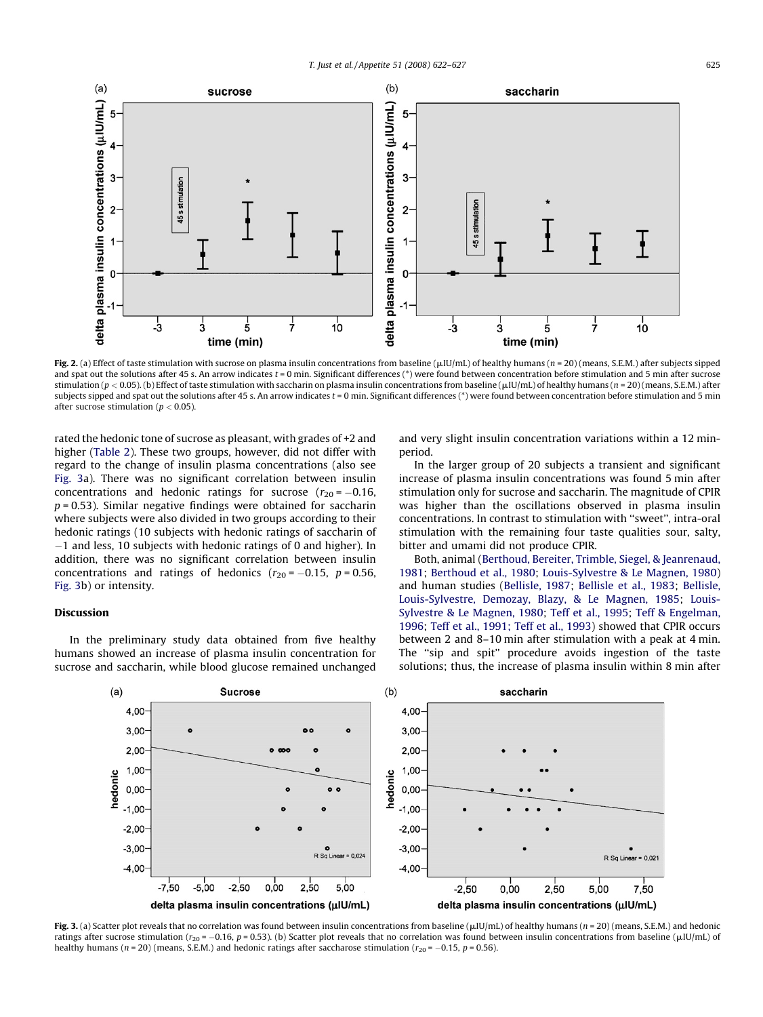<span id="page-3-0"></span>

Fig. 2. (a) Effect of taste stimulation with sucrose on plasma insulin concentrations from baseline ( $\mu$ IU/mL) of healthy humans ( $n = 20$ ) (means, S.E.M.) after subjects sipped and spat out the solutions after 45 s. An arrow indicates t = 0 min. Significant differences (\*) were found between concentration before stimulation and 5 min after sucrose stimulation ( $p < 0.05$ ). (b) Effect of taste stimulation with saccharin on plasma insulin concentrations from baseline ( $\mu$ IU/mL) of healthy humans ( $n = 20$ ) (means, S.E.M.) after subjects sipped and spat out the solutions after 45 s. An arrow indicates t = 0 min. Significant differences (\*) were found between concentration before stimulation and 5 min after sucrose stimulation ( $p < 0.05$ ).

rated the hedonic tone of sucrose as pleasant, with grades of +2 and higher [\(Table 2\)](#page-2-0). These two groups, however, did not differ with regard to the change of insulin plasma concentrations (also see Fig. 3a). There was no significant correlation between insulin concentrations and hedonic ratings for sucrose  $(r_{20} = -0.16,$  $p = 0.53$ ). Similar negative findings were obtained for saccharin where subjects were also divided in two groups according to their hedonic ratings (10 subjects with hedonic ratings of saccharin of  $-1$  and less, 10 subjects with hedonic ratings of 0 and higher). In addition, there was no significant correlation between insulin concentrations and ratings of hedonics  $(r_{20} = -0.15, p = 0.56,$ Fig. 3b) or intensity.

# Discussion

In the preliminary study data obtained from five healthy humans showed an increase of plasma insulin concentration for sucrose and saccharin, while blood glucose remained unchanged and very slight insulin concentration variations within a 12 minperiod.

In the larger group of 20 subjects a transient and significant increase of plasma insulin concentrations was found 5 min after stimulation only for sucrose and saccharin. The magnitude of CPIR was higher than the oscillations observed in plasma insulin concentrations. In contrast to stimulation with ''sweet'', intra-oral stimulation with the remaining four taste qualities sour, salty, bitter and umami did not produce CPIR.

Both, animal [\(Berthoud, Bereiter, Trimble, Siegel, & Jeanrenaud,](#page-4-0) [1981;](#page-4-0) [Berthoud et al., 1980;](#page-4-0) [Louis-Sylvestre & Le Magnen, 1980\)](#page-4-0) and human studies [\(Bellisle, 1987](#page-4-0); [Bellisle et al., 1983;](#page-4-0) [Bellisle,](#page-4-0) [Louis-Sylvestre, Demozay, Blazy, & Le Magnen, 1985;](#page-4-0) [Louis-](#page-4-0)[Sylvestre & Le Magnen, 1980](#page-4-0); [Teff et al., 1995;](#page-5-0) [Teff & Engelman,](#page-5-0) [1996;](#page-5-0) [Teff et al., 1991; Teff et al., 1993\)](#page-5-0) showed that CPIR occurs between 2 and 8–10 min after stimulation with a peak at 4 min. The "sip and spit" procedure avoids ingestion of the taste solutions; thus, the increase of plasma insulin within 8 min after



Fig. 3. (a) Scatter plot reveals that no correlation was found between insulin concentrations from baseline ( $\mu$ IU/mL) of healthy humans ( $n = 20$ ) (means, S.E.M.) and hedonic ratings after sucrose stimulation ( $r_{20}$  = -0.16, p = 0.53). (b) Scatter plot reveals that no correlation was found between insulin concentrations from baseline ( $\mu$ IU/mL) of healthy humans ( $n = 20$ ) (means, S.E.M.) and hedonic ratings after saccharose stimulation ( $r_{20} = -0.15$ ,  $p = 0.56$ ).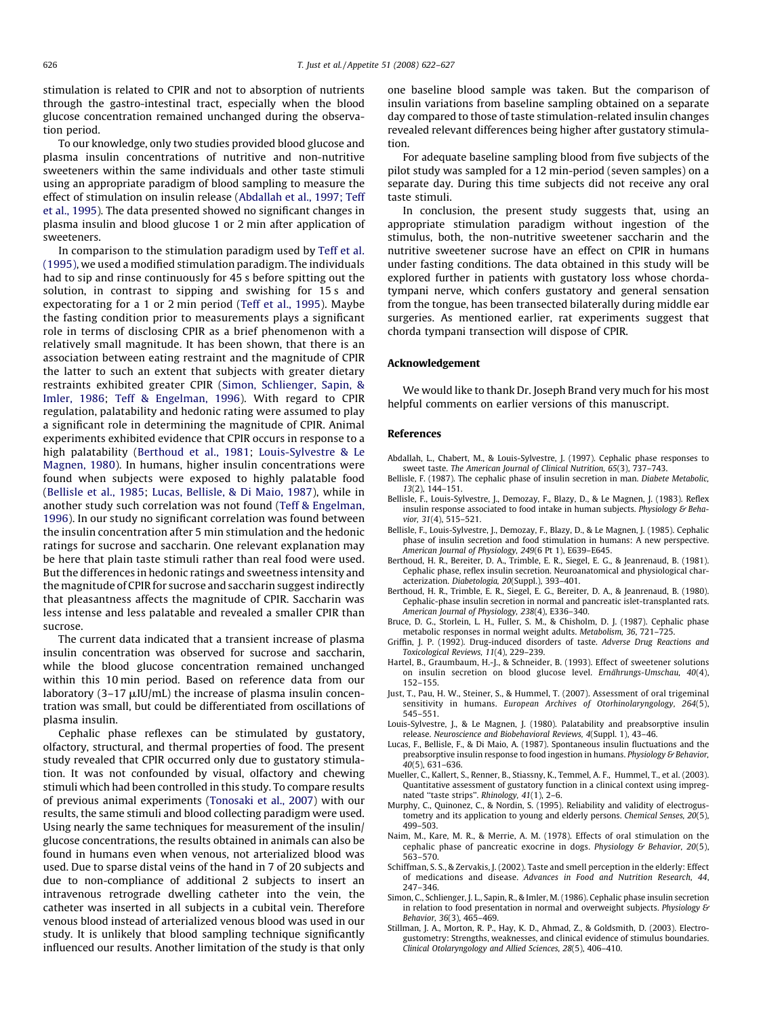<span id="page-4-0"></span>stimulation is related to CPIR and not to absorption of nutrients through the gastro-intestinal tract, especially when the blood glucose concentration remained unchanged during the observation period.

To our knowledge, only two studies provided blood glucose and plasma insulin concentrations of nutritive and non-nutritive sweeteners within the same individuals and other taste stimuli using an appropriate paradigm of blood sampling to measure the effect of stimulation on insulin release (Abdallah et al., 1997; Teff et al., 1995). The data presented showed no significant changes in plasma insulin and blood glucose 1 or 2 min after application of sweeteners.

In comparison to the stimulation paradigm used by [Teff et al.](#page-5-0) [\(1995\),](#page-5-0) we used a modified stimulation paradigm. The individuals had to sip and rinse continuously for 45 s before spitting out the solution, in contrast to sipping and swishing for 15s and expectorating for a 1 or 2 min period ([Teff et al., 1995](#page-5-0)). Maybe the fasting condition prior to measurements plays a significant role in terms of disclosing CPIR as a brief phenomenon with a relatively small magnitude. It has been shown, that there is an association between eating restraint and the magnitude of CPIR the latter to such an extent that subjects with greater dietary restraints exhibited greater CPIR (Simon, Schlienger, Sapin, & Imler, 1986; [Teff & Engelman, 1996](#page-5-0)). With regard to CPIR regulation, palatability and hedonic rating were assumed to play a significant role in determining the magnitude of CPIR. Animal experiments exhibited evidence that CPIR occurs in response to a high palatability (Berthoud et al., 1981; Louis-Sylvestre & Le Magnen, 1980). In humans, higher insulin concentrations were found when subjects were exposed to highly palatable food (Bellisle et al., 1985; Lucas, Bellisle, & Di Maio, 1987), while in another study such correlation was not found [\(Teff & Engelman,](#page-5-0) [1996](#page-5-0)). In our study no significant correlation was found between the insulin concentration after 5 min stimulation and the hedonic ratings for sucrose and saccharin. One relevant explanation may be here that plain taste stimuli rather than real food were used. But the differences in hedonic ratings and sweetness intensity and the magnitude of CPIR for sucrose and saccharin suggest indirectly that pleasantness affects the magnitude of CPIR. Saccharin was less intense and less palatable and revealed a smaller CPIR than sucrose.

The current data indicated that a transient increase of plasma insulin concentration was observed for sucrose and saccharin, while the blood glucose concentration remained unchanged within this 10 min period. Based on reference data from our laboratory (3–17  $\mu$ IU/mL) the increase of plasma insulin concentration was small, but could be differentiated from oscillations of plasma insulin.

Cephalic phase reflexes can be stimulated by gustatory, olfactory, structural, and thermal properties of food. The present study revealed that CPIR occurred only due to gustatory stimulation. It was not confounded by visual, olfactory and chewing stimuli which had been controlled in this study. To compare results of previous animal experiments ([Tonosaki et al., 2007\)](#page-5-0) with our results, the same stimuli and blood collecting paradigm were used. Using nearly the same techniques for measurement of the insulin/ glucose concentrations, the results obtained in animals can also be found in humans even when venous, not arterialized blood was used. Due to sparse distal veins of the hand in 7 of 20 subjects and due to non-compliance of additional 2 subjects to insert an intravenous retrograde dwelling catheter into the vein, the catheter was inserted in all subjects in a cubital vein. Therefore venous blood instead of arterialized venous blood was used in our study. It is unlikely that blood sampling technique significantly influenced our results. Another limitation of the study is that only one baseline blood sample was taken. But the comparison of insulin variations from baseline sampling obtained on a separate day compared to those of taste stimulation-related insulin changes revealed relevant differences being higher after gustatory stimulation.

For adequate baseline sampling blood from five subjects of the pilot study was sampled for a 12 min-period (seven samples) on a separate day. During this time subjects did not receive any oral taste stimuli.

In conclusion, the present study suggests that, using an appropriate stimulation paradigm without ingestion of the stimulus, both, the non-nutritive sweetener saccharin and the nutritive sweetener sucrose have an effect on CPIR in humans under fasting conditions. The data obtained in this study will be explored further in patients with gustatory loss whose chordatympani nerve, which confers gustatory and general sensation from the tongue, has been transected bilaterally during middle ear surgeries. As mentioned earlier, rat experiments suggest that chorda tympani transection will dispose of CPIR.

#### Acknowledgement

We would like to thank Dr. Joseph Brand very much for his most helpful comments on earlier versions of this manuscript.

### References

- Abdallah, L., Chabert, M., & Louis-Sylvestre, J. (1997). Cephalic phase responses to sweet taste. The American Journal of Clinical Nutrition, 65(3), 737–743.
- Bellisle, F. (1987). The cephalic phase of insulin secretion in man. Diabete Metabolic, 13(2), 144–151.
- Bellisle, F., Louis-Sylvestre, J., Demozay, F., Blazy, D., & Le Magnen, J. (1983). Reflex insulin response associated to food intake in human subjects. Physiology  $\&$  Behavior, 31(4), 515–521.
- Bellisle, F., Louis-Sylvestre, J., Demozay, F., Blazy, D., & Le Magnen, J. (1985). Cephalic phase of insulin secretion and food stimulation in humans: A new perspective. American Journal of Physiology, 249(6 Pt 1), E639–E645.
- Berthoud, H. R., Bereiter, D. A., Trimble, E. R., Siegel, E. G., & Jeanrenaud, B. (1981). Cephalic phase, reflex insulin secretion. Neuroanatomical and physiological characterization. Diabetologia, 20(Suppl.), 393–401.
- Berthoud, H. R., Trimble, E. R., Siegel, E. G., Bereiter, D. A., & Jeanrenaud, B. (1980). Cephalic-phase insulin secretion in normal and pancreatic islet-transplanted rats. American Journal of Physiology, 238(4), E336–340.
- Bruce, D. G., Storlein, L. H., Fuller, S. M., & Chisholm, D. J. (1987). Cephalic phase metabolic responses in normal weight adults. Metabolism, 36, 721–725.
- Griffin, J. P. (1992). Drug-induced disorders of taste. Adverse Drug Reactions and Toxicological Reviews, 11(4), 229–239.
- Hartel, B., Graumbaum, H.-J., & Schneider, B. (1993). Effect of sweetener solutions on insulin secretion on blood glucose level. Ernährungs-Umschau, 40(4), 152–155.
- Just, T., Pau, H. W., Steiner, S., & Hummel, T. (2007). Assessment of oral trigeminal sensitivity in humans. European Archives of Otorhinolaryngology, 264(5), 545–551.
- Louis-Sylvestre, J., & Le Magnen, J. (1980). Palatability and preabsorptive insulin release. Neuroscience and Biobehavioral Reviews, 4(Suppl. 1), 43–46.
- Lucas, F., Bellisle, F., & Di Maio, A. (1987). Spontaneous insulin fluctuations and the preabsorptive insulin response to food ingestion in humans. Physiology & Behavior, 40(5), 631–636.
- Mueller, C., Kallert, S., Renner, B., Stiassny, K., Temmel, A. F., Hummel, T., et al. (2003). Quantitative assessment of gustatory function in a clinical context using impregnated ''taste strips''. Rhinology, 41(1), 2–6.
- Murphy, C., Quinonez, C., & Nordin, S. (1995). Reliability and validity of electrogustometry and its application to young and elderly persons. Chemical Senses, 20(5), 499–503.
- Naim, M., Kare, M. R., & Merrie, A. M. (1978). Effects of oral stimulation on the cephalic phase of pancreatic exocrine in dogs. Physiology & Behavior, 20(5), 563–570.
- Schiffman, S. S., & Zervakis, J. (2002). Taste and smell perception in the elderly: Effect of medications and disease. Advances in Food and Nutrition Research, 44, 247–346.
- Simon, C., Schlienger, J. L., Sapin, R., & Imler, M. (1986). Cephalic phase insulin secretion in relation to food presentation in normal and overweight subjects. Physiology & Behavior, 36(3), 465–469.
- Stillman, J. A., Morton, R. P., Hay, K. D., Ahmad, Z., & Goldsmith, D. (2003). Electrogustometry: Strengths, weaknesses, and clinical evidence of stimulus boundaries. Clinical Otolaryngology and Allied Sciences, 28(5), 406–410.